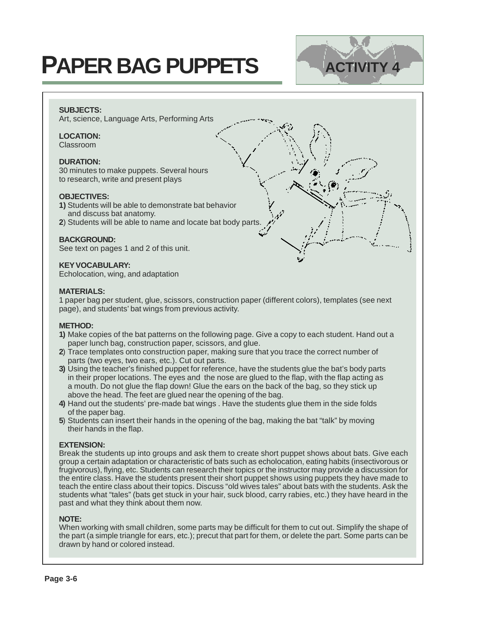# **PAPER BAG PUPPETS**



# **SUBJECTS:**

Art, science, Language Arts, Performing Arts

## **LOCATION:**

Classroom

## **DURATION:**

30 minutes to make puppets. Several hours to research, write and present plays

## **OBJECTIVES:**

- **1)** Students will be able to demonstrate bat behavior and discuss bat anatomy.
- **2**) Students will be able to name and locate bat body parts.

## **BACKGROUND:**

See text on pages 1 and 2 of this unit.

## **KEY VOCABULARY:**

Echolocation, wing, and adaptation

## **MATERIALS:**

1 paper bag per student, glue, scissors, construction paper (different colors), templates (see next page), and students' bat wings from previous activity.

## **METHOD:**

- **1)** Make copies of the bat patterns on the following page. Give a copy to each student. Hand out a paper lunch bag, construction paper, scissors, and glue.
- **2**) Trace templates onto construction paper, making sure that you trace the correct number of parts (two eyes, two ears, etc.). Cut out parts.
- **3)** Using the teacher's finished puppet for reference, have the students glue the bat's body parts in their proper locations. The eyes and the nose are glued to the flap, with the flap acting as a mouth. Do not glue the flap down! Glue the ears on the back of the bag, so they stick up above the head. The feet are glued near the opening of the bag.
- **4)** Hand out the students' pre-made bat wings . Have the students glue them in the side folds of the paper bag.
- **5**) Students can insert their hands in the opening of the bag, making the bat "talk" by moving their hands in the flap.

## **EXTENSION:**

Break the students up into groups and ask them to create short puppet shows about bats. Give each group a certain adaptation or characteristic of bats such as echolocation, eating habits (insectivorous or frugivorous), flying, etc. Students can research their topics or the instructor may provide a discussion for the entire class. Have the students present their short puppet shows using puppets they have made to teach the entire class about their topics. Discuss "old wives tales" about bats with the students. Ask the students what "tales" (bats get stuck in your hair, suck blood, carry rabies, etc.) they have heard in the past and what they think about them now.

## **NOTE:**

When working with small children, some parts may be difficult for them to cut out. Simplify the shape of the part (a simple triangle for ears, etc.); precut that part for them, or delete the part. Some parts can be drawn by hand or colored instead.